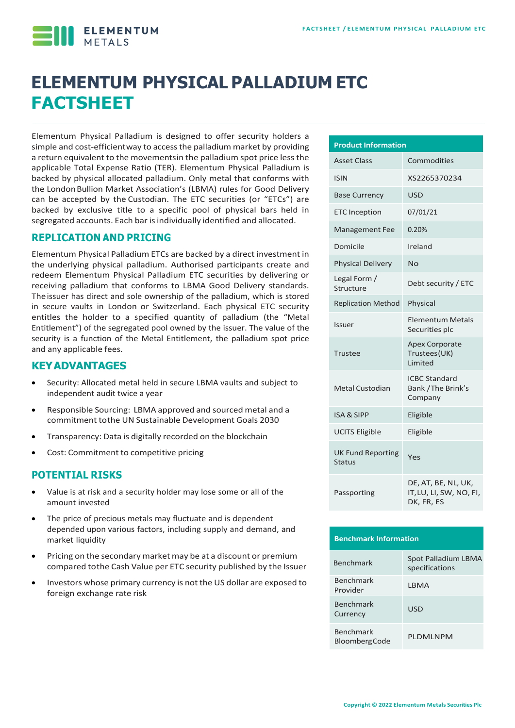

# **ELEMENTUM PHYSICAL PALLADIUM ETC FACTSHEET**

Elementum Physical Palladium is designed to offer security holders a simple and cost-efficientway to accessthe palladium market by providing a return equivalent to the movementsin the palladium spot price lessthe applicable Total Expense Ratio (TER). Elementum Physical Palladium is backed by physical allocated palladium. Only metal that conforms with the LondonBullion Market Association's (LBMA) rules for Good Delivery can be accepted by the Custodian. The ETC securities (or "ETCs") are backed by exclusive title to a specific pool of physical bars held in segregated accounts. Each bar is individually identified and allocated.

#### **REPLICATION AND PRICING**

Elementum Physical Palladium ETCs are backed by a direct investment in the underlying physical palladium. Authorised participants create and redeem Elementum Physical Palladium ETC securities by delivering or receiving palladium that conforms to LBMA Good Delivery standards. Theissuer has direct and sole ownership of the palladium, which is stored in secure vaults in London or Switzerland. Each physical ETC security entitles the holder to a specified quantity of palladium (the "Metal Entitlement") of the segregated pool owned by the issuer. The value of the security is a function of the Metal Entitlement, the palladium spot price and any applicable fees.

#### **KEYADVANTAGES**

- Security: Allocated metal held in secure LBMA vaults and subject to independent audit twice a year
- Responsible Sourcing: LBMA approved and sourced metal and a commitment tothe UN Sustainable Development Goals 2030
- Transparency: Data is digitally recorded on the blockchain
- Cost: Commitment to competitive pricing

#### **POTENTIAL RISKS**

- Value is at risk and a security holder may lose some or all of the amount invested
- The price of precious metals may fluctuate and is dependent depended upon various factors, including supply and demand, and market liquidity
- Pricing on the secondary market may be at a discount or premium compared tothe Cash Value per ETC security published by the Issuer
- Investors whose primary currency is not the US dollar are exposed to foreign exchange rate risk

| <b>Product Information</b>                |                                                              |  |  |  |  |
|-------------------------------------------|--------------------------------------------------------------|--|--|--|--|
| <b>Asset Class</b>                        | Commodities                                                  |  |  |  |  |
| <b>ISIN</b>                               | XS2265370234                                                 |  |  |  |  |
| <b>Base Currency</b>                      | <b>USD</b>                                                   |  |  |  |  |
| <b>ETC</b> Inception                      | 07/01/21                                                     |  |  |  |  |
| <b>Management Fee</b>                     | 0.20%                                                        |  |  |  |  |
| Domicile                                  | Ireland                                                      |  |  |  |  |
| <b>Physical Delivery</b>                  | No                                                           |  |  |  |  |
| Legal Form /<br>Structure                 | Debt security / ETC                                          |  |  |  |  |
| <b>Replication Method</b>                 | Physical                                                     |  |  |  |  |
| Issuer                                    | <b>Elementum Metals</b><br>Securities plc                    |  |  |  |  |
| Trustee                                   | <b>Apex Corporate</b><br>Trustees (UK)<br><b>Limited</b>     |  |  |  |  |
| Metal Custodian                           | <b>ICBC Standard</b><br>Bank / The Brink's<br>Company        |  |  |  |  |
| <b>ISA &amp; SIPP</b>                     | Eligible                                                     |  |  |  |  |
| <b>UCITS Eligible</b>                     | Eligible                                                     |  |  |  |  |
| <b>UK Fund Reporting</b><br><b>Status</b> | Yes                                                          |  |  |  |  |
| Passporting                               | DE, AT, BE, NL, UK,<br>IT, LU, LI, SW, NO, FI,<br>DK, FR, ES |  |  |  |  |

#### **Benchmark Information**

| <b>Benchmark</b>                  | Spot Palladium LBMA<br>specifications |
|-----------------------------------|---------------------------------------|
| <b>Benchmark</b><br>Provider      | LBMA                                  |
| <b>Benchmark</b><br>Currency      | USD                                   |
| Benchmark<br><b>BloombergCode</b> | PI DMI NPM                            |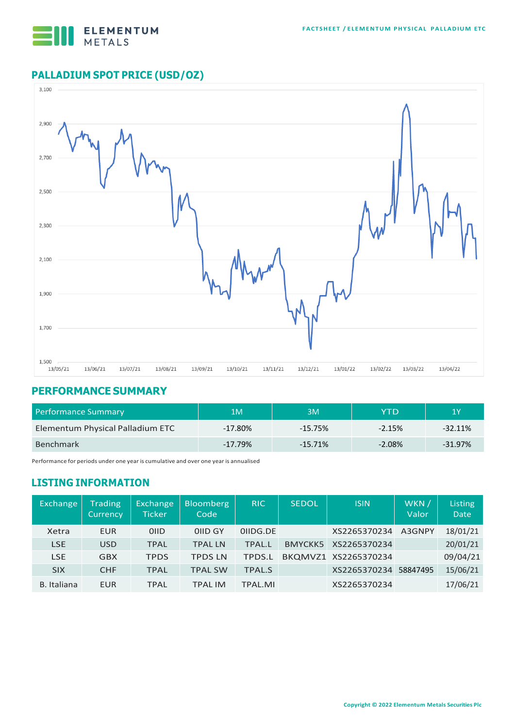

## **PALLADIUM SPOT PRICE (USD/OZ)**



#### **PERFORMANCE SUMMARY**

| <b>Performance Summary</b>       | 1M         | ЗM        | YTD       | '1 Y      |
|----------------------------------|------------|-----------|-----------|-----------|
| Elementum Physical Palladium ETC | $-17.80\%$ | $-15.75%$ | $-2.15%$  | $-32.11%$ |
| <b>Benchmark</b>                 | $-17.79%$  | $-15.71%$ | $-2.08\%$ | $-31.97%$ |

Performance for periods under one year is cumulative and over one year is annualised

### **LISTING INFORMATION**

| <b>Exchange</b>    | <b>Trading</b><br>Currency | Exchange<br><b>Ticker</b> | <b>Bloomberg</b><br>Code | <b>RIC</b>    | <b>SEDOL</b>   | <b>ISIN</b>          | WKN /<br>Valor | Listing<br><b>Date</b> |
|--------------------|----------------------------|---------------------------|--------------------------|---------------|----------------|----------------------|----------------|------------------------|
| Xetra              | <b>EUR</b>                 | 0 <sub>IID</sub>          | OIID GY                  | OIIDG.DE      |                | XS2265370234         | A3GNPY         | 18/01/21               |
| <b>LSE</b>         | <b>USD</b>                 | <b>TPAL</b>               | <b>TPAL LN</b>           | <b>TPAL.L</b> | <b>BMYCKK5</b> | XS2265370234         |                | 20/01/21               |
| <b>LSE</b>         | <b>GBX</b>                 | <b>TPDS</b>               | <b>TPDS LN</b>           | <b>TPDS.L</b> |                | BKQMVZ1 XS2265370234 |                | 09/04/21               |
| <b>SIX</b>         | <b>CHF</b>                 | <b>TPAL</b>               | <b>TPAL SW</b>           | <b>TPAL.S</b> |                | XS2265370234         | 58847495       | 15/06/21               |
| <b>B.</b> Italiana | <b>EUR</b>                 | <b>TPAL</b>               | <b>TPAL IM</b>           | TPAL.MI       |                | XS2265370234         |                | 17/06/21               |